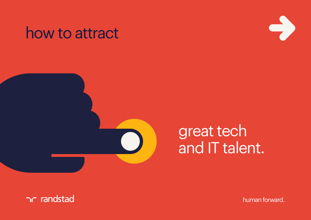#### how to attract





# great tech and IT talent.

human forward.

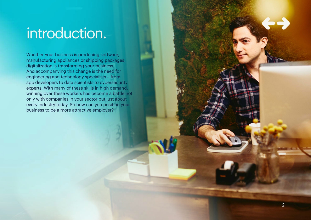# introduction.

Whether your business is producing software, manufacturing appliances or shipping packages, digitalization is transforming your business. And accompanying this change is the need for engineering and technology specialists – from app developers to data scientists to cybersecurity experts. With many of these skills in high demand, winning over these workers has become a battle not only with companies in your sector but just about every industry today. So how can you position your business to be a more attractive employer?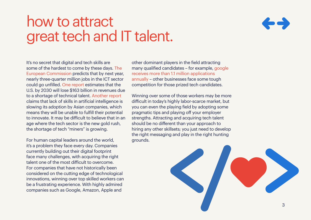#### how to attract great tech and IT talent.



It's no secret that digital and tech skills are some of the hardest to come by these days. [The](https://ec.europa.eu/epale/fr/content/e-skills-and-jobs-digital-age)  [European Commission](https://ec.europa.eu/epale/fr/content/e-skills-and-jobs-digital-age) predicts that by next year, nearly three-quarter million jobs in the ICT sector could go unfilled. [One report](https://medium.com/the-terminal-input/tech-talent-shortages-will-crush-the-big-apple-7c9acb76f0b0) estimates that the U.S. by 2030 will lose \$163 billion in revenues due to a shortage of technical talent. [Another report](https://www.cnbc.com/2019/02/20/microsoft-idc-study-skills-shortages-stopping-companies-from-using-ai.html)  claims that lack of skills in artificial intelligence is slowing its adoption by Asian companies, which means they will be unable to fulfill their potential to innovate. It may be difficult to believe that in an age where the tech sector is the new gold rush, the shortage of tech "miners" is growing.

For human capital leaders around the world, it's a problem they face every day. Companies currently building out their digital footprint face many challenges, with acquiring the right talent one of the most difficult to overcome. For companies that have not historically been considered on the cutting edge of technological innovations, winning over top skilled workers can be a frustrating experience. With highly admired companies such as Google, Amazon, Apple and

other dominant players in the field attracting many qualified candidates – for example[, google](https://www.business2community.com/linkedin/linkedin-reveals-top-50-unicorn-companies-to-work-for-in-2019-02192701)  [receives more than 1.1 million applications](https://www.business2community.com/linkedin/linkedin-reveals-top-50-unicorn-companies-to-work-for-in-2019-02192701)  [annually](https://www.business2community.com/linkedin/linkedin-reveals-top-50-unicorn-companies-to-work-for-in-2019-02192701) – other businesses face some tough competition for those prized tech candidates.

Winning over some of those workers may be more difficult in today's highly labor-scarce market, but you can even the playing field by adopting some pragmatic tips and playing off your employer strengths. Attracting and acquiring tech talent should be no different than your approach to hiring any other skillsets; you just need to develop the right messaging and play in the right hunting grounds.

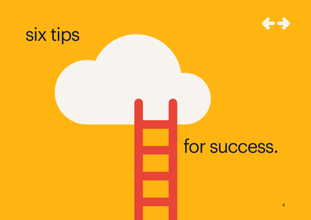

# six tips

# for success.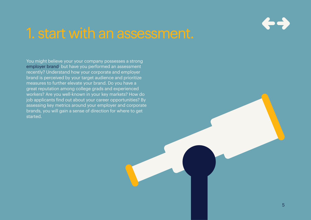

#### 1. start with an assessment.

You might believe your your company possesses a strong [employer brand,](https://www.randstad.com/workforce-insights/employer-branding/) but have you performed an assessment recently? Understand how your corporate and employer brand is perceived by your target audience and prioritize measures to further elevate your brand. Do you have a great reputation among college grads and experienced workers? Are you well-known in your key markets? How do job applicants find out about your career opportunities? By assessing key metrics around your employer and corporate brands, you will gain a sense of direction for where to get started.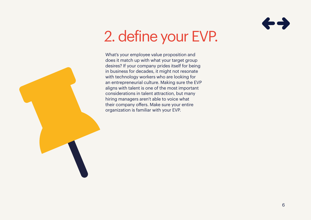

# 2. define your EVP.

What's your employee value proposition and does it match up with what your target group desires? If your company prides itself for being in business for decades, it might not resonate with technology workers who are looking for an entrepreneurial culture. Making sure the EVP aligns with talent is one of the most important considerations in talent attraction, but many hiring managers aren't able to voice what their company offers. Make sure your entire organization is familiar with your EVP.

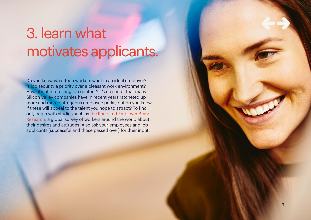# 3. learn what motivates applicants.

Do you know what tech workers want in an ideal employer? Is job security a priority over a pleasant work environment? How about interesting job content? It's no secret that many Silicon Valley companies have in recent years ratcheted up more and more outrageous employee perks, but do you know if these will appeal to the talent you hope to attract? To find out, begin with studies such as [the Randstad Employer Brand](https://www.randstad.com/workforce-insights/employer-branding/research-reports/)  [Research](https://www.randstad.com/workforce-insights/employer-branding/research-reports/), a global survey of workers around the world about their desires and attitudes. Also ask your employees and job applicants (successful and those passed over) for their input.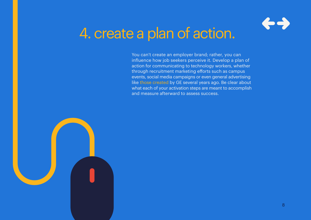

# 4. create a plan of action.

You can't create an employer brand; rather, you can influence how job seekers perceive it. Develop a plan of action for communicating to technology workers, whether through recruitment marketing efforts such as campus events, social media campaigns or even general advertising like [those created](https://www.youtube.com/watch?v=SW_7Q_tAk9I) by GE several years ago. Be clear about what each of your activation steps are meant to accomplish and measure afterward to assess success.

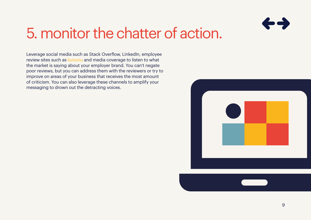

### 5. monitor the chatter of action.

Leverage social media such as Stack Overflow, LinkedIn, employee review sites such as [kununu](https://www.kununu.com) and media coverage to listen to what the market is saying about your employer brand. You can't negate poor reviews, but you can address them with the reviewers or try to improve on areas of your business that receives the most amount of criticism. You can also leverage these channels to amplify your messaging to drown out the detracting voices.

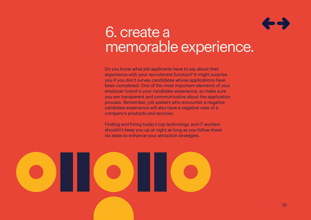

#### 6. create a memorable experience.

Do you know what job applicants have to say about their experience with your recruitment function? It might surprise you if you don't survey candidates whose applications have been completed. One of the most important elements of your employer brand is your candidate experience, so make sure you are transparent and communicative about the application process. Remember, job seekers who encounter a negative candidate experience will also have a negative view of a company's products and services.

Finding and hiring today's top technology and IT workers shouldn't keep you up at night as long as you follow these six steps to enhance your attraction strategies.